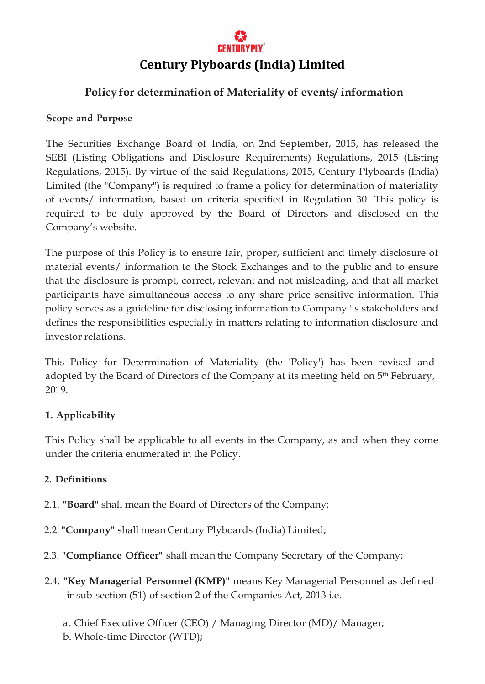# **Policy for determination of Materiality of events/ information**

### **Scope and Purpose**

The Securities Exchange Board of India, on 2nd September, 2015, has released the SEBI (Listing Obligations and Disclosure Requirements) Regulations, 2015 (Listing Regulations, 2015). By virtue of the said Regulations, 2015, Century Plyboards (India) Limited (the "Company") is required to frame a policy for determination of materiality of events/ information, based on criteria specified in Regulation 30. This policy is required to be duly approved by the Board of Directors and disclosed on the Company's website.

The purpose of this Policy is to ensure fair, proper, sufficient and timely disclosure of material events/ information to the Stock Exchanges and to the public and to ensure that the disclosure is prompt, correct, relevant and not misleading, and that all market participants have simultaneous access to any share price sensitive information. This policy serves as a guideline for disclosing information to Company ' s stakeholders and defines the responsibilities especially in matters relating to information disclosure and investor relations.

This Policy for Determination of Materiality (the 'Policy') has been revised and adopted by the Board of Directors of the Company at its meeting held on 5<sup>th</sup> February, 2019.

## **1. Applicability**

This Policy shall be applicable to all events in the Company, as and when they come under the criteria enumerated in the Policy.

## **2. Definitions**

- 2.1. **"Board"** shall mean the Board of Directors of the Company;
- 2.2. **"Company"** shall mean Century Plyboards (India) Limited;
- 2.3. **"Compliance Officer"** shall mean the Company Secretary of the Company;
- 2.4. **"Key Managerial Personnel (KMP)"** means Key Managerial Personnel as defined insub-section (51) of section 2 of the Companies Act, 2013 i.e.
	- a. Chief Executive Officer (CEO) / Managing Director (MD)/ Manager;
	- b. Whole-time Director (WTD);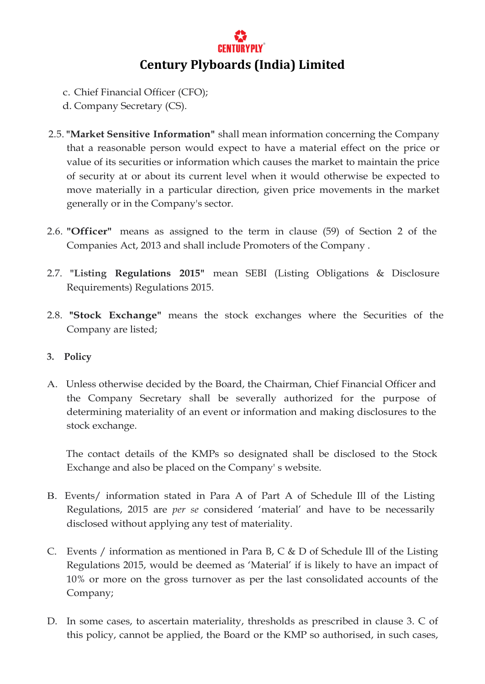- c. Chief Financial Officer (CFO);
- d. Company Secretary (CS).
- 2.5. **"Market Sensitive Information"** shall mean information concerning the Company that a reasonable person would expect to have a material effect on the price or value of its securities or information which causes the market to maintain the price of security at or about its current level when it would otherwise be expected to move materially in a particular direction, given price movements in the market generally or in the Company's sector.
- 2.6. **"Officer"** means as assigned to the term in clause (59) of Section 2 of the Companies Act, 2013 and shall include Promoters of the Company .
- 2.7. **"Listing Regulations 2015"** mean SEBI (Listing Obligations & Disclosure Requirements) Regulations 2015.
- 2.8. **"Stock Exchange"** means the stock exchanges where the Securities of the Company are listed;

#### **3. Policy**

A. Unless otherwise decided by the Board, the Chairman, Chief Financial Officer and the Company Secretary shall be severally authorized for the purpose of determining materiality of an event or information and making disclosures to the stock exchange.

The contact details of the KMPs so designated shall be disclosed to the Stock Exchange and also be placed on the Company' s website.

- B. Events/ information stated in Para A of Part A of Schedule Ill of the Listing Regulations, 2015 are *per se* considered 'material' and have to be necessarily disclosed without applying any test of materiality.
- C. Events / information as mentioned in Para B, C & D of Schedule Ill of the Listing Regulations 2015, would be deemed as 'Material' if is likely to have an impact of 10% or more on the gross turnover as per the last consolidated accounts of the Company;
- D. In some cases, to ascertain materiality, thresholds as prescribed in clause 3. C of this policy, cannot be applied, the Board or the KMP so authorised, in such cases,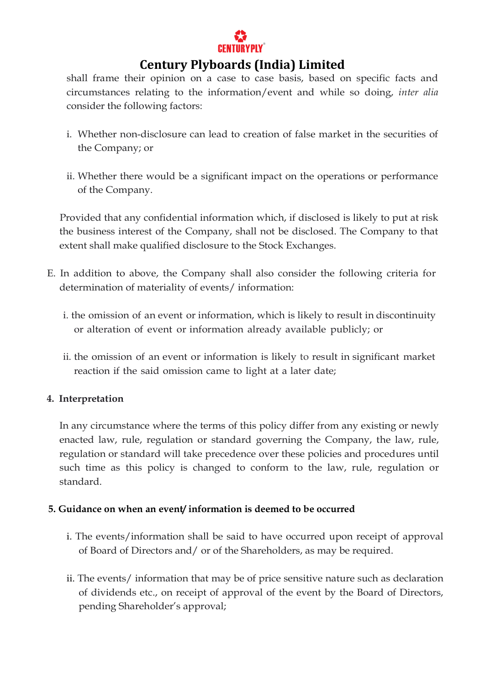

shall frame their opinion on a case to case basis, based on specific facts and circumstances relating to the information/event and while so doing, *inter alia* consider the following factors:

- i. Whether non-disclosure can lead to creation of false market in the securities of the Company; or
- ii. Whether there would be a significant impact on the operations or performance of the Company.

Provided that any confidential information which, if disclosed is likely to put at risk the business interest of the Company, shall not be disclosed. The Company to that extent shall make qualified disclosure to the Stock Exchanges.

- E. In addition to above, the Company shall also consider the following criteria for determination of materiality of events/ information:
	- i. the omission of an event or information, which is likely to result in discontinuity or alteration of event or information already available publicly; or
	- ii. the omission of an event or information is likely to result in significant market reaction if the said omission came to light at a later date;

## **4. Interpretation**

In any circumstance where the terms of this policy differ from any existing or newly enacted law, rule, regulation or standard governing the Company, the law, rule, regulation or standard will take precedence over these policies and procedures until such time as this policy is changed to conform to the law, rule, regulation or standard.

#### **5. Guidance on when an event/ information is deemed to be occurred**

- i. The events/information shall be said to have occurred upon receipt of approval of Board of Directors and/ or of the Shareholders, as may be required.
- ii. The events/ information that may be of price sensitive nature such as declaration of dividends etc., on receipt of approval of the event by the Board of Directors, pending Shareholder's approval;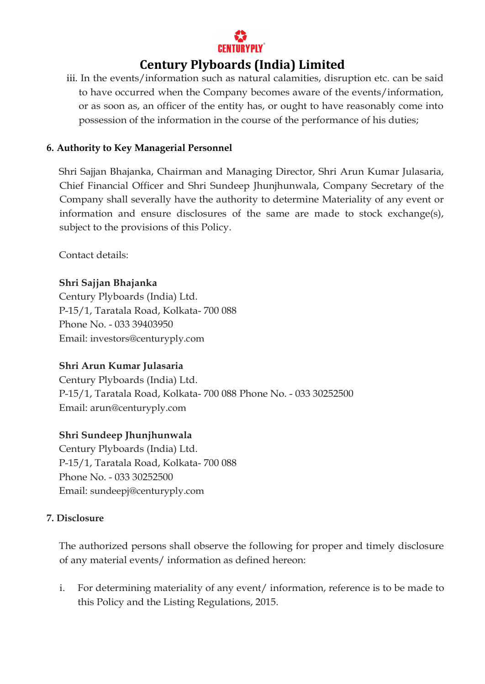

iii. In the events/information such as natural calamities, disruption etc. can be said to have occurred when the Company becomes aware of the events/information, or as soon as, an officer of the entity has, or ought to have reasonably come into possession of the information in the course of the performance of his duties;

#### **6. Authority to Key Managerial Personnel**

Shri Sajjan Bhajanka, Chairman and Managing Director, Shri Arun Kumar Julasaria, Chief Financial Officer and Shri Sundeep Jhunjhunwala, Company Secretary of the Company shall severally have the authority to determine Materiality of any event or information and ensure disclosures of the same are made to stock exchange(s), subject to the provisions of this Policy.

Contact details:

## **Shri Sajjan Bhajanka**

Century Plyboards (India) Ltd. P-15/1, Taratala Road, Kolkata- 700 088 Phone No. - 033 39403950 Email: [investors@centuryply.com](mailto:investors@centuryply.com)

## **Shri Arun Kumar Julasaria**

Century Plyboards (India) Ltd. P-15/1, Taratala Road, Kolkata- 700 088 Phone No. - 033 30252500 Email: aru[n@centuryply.com](mailto:investors@centuryply.com)

#### **Shri Sundeep Jhunjhunwala**

Century Plyboards (India) Ltd. P-15/1, Taratala Road, Kolkata- 700 088 Phone No. - 033 30252500 Email: [sundeepj@centuryply.com](mailto:sundeepj@centuryply.com)

#### **7. Disclosure**

The authorized persons shall observe the following for proper and timely disclosure of any material events/ information as defined hereon:

i. For determining materiality of any event/ information, reference is to be made to this Policy and the Listing Regulations, 2015.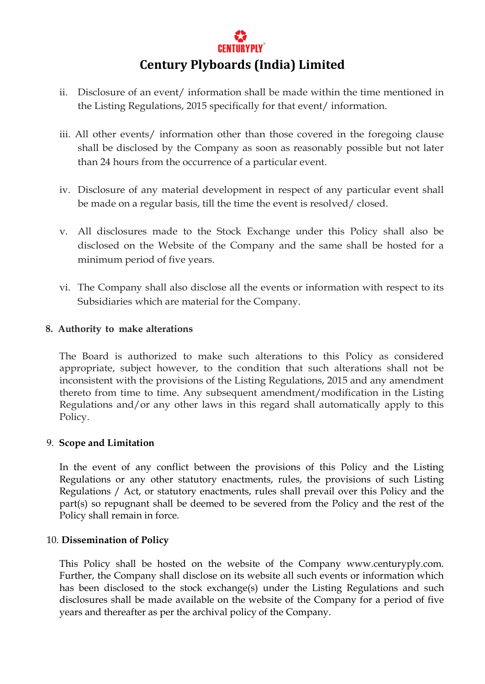

- ii. Disclosure of an event/ information shall be made within the time mentioned in the Listing Regulations, 2015 specifically for that event/ information.
- iii. All other events/ information other than those covered in the foregoing clause shall be disclosed by the Company as soon as reasonably possible but not later than 24 hours from the occurrence of a particular event.
- iv. Disclosure of any material development in respect of any particular event shall be made on a regular basis, till the time the event is resolved/ closed.
- v. All disclosures made to the Stock Exchange under this Policy shall also be disclosed on the Website of the Company and the same shall be hosted for a minimum period of five years.
- vi. The Company shall also disclose all the events or information with respect to its Subsidiaries which are material for the Company.

#### **8. Authority to make alterations**

The Board is authorized to make such alterations to this Policy as considered appropriate, subject however, to the condition that such alterations shall not be inconsistent with the provisions of the Listing Regulations, 2015 and any amendment thereto from time to time. Any subsequent amendment/modification in the Listing Regulations and/or any other laws in this regard shall automatically apply to this Policy.

#### 9. **Scope and Limitation**

In the event of any conflict between the provisions of this Policy and the Listing Regulations or any other statutory enactments, rules, the provisions of such Listing Regulations / Act, or statutory enactments, rules shall prevail over this Policy and the part(s) so repugnant shall be deemed to be severed from the Policy and the rest of the Policy shall remain in force.

#### 10. **Dissemination of Policy**

This Policy shall be hosted on the website of the Company www.centuryply.com. Further, the Company shall disclose on its website all such events or information which has been disclosed to the stock exchange(s) under the Listing Regulations and such disclosures shall be made available on the website of the Company for a period of five years and thereafter as per the archival policy of the Company.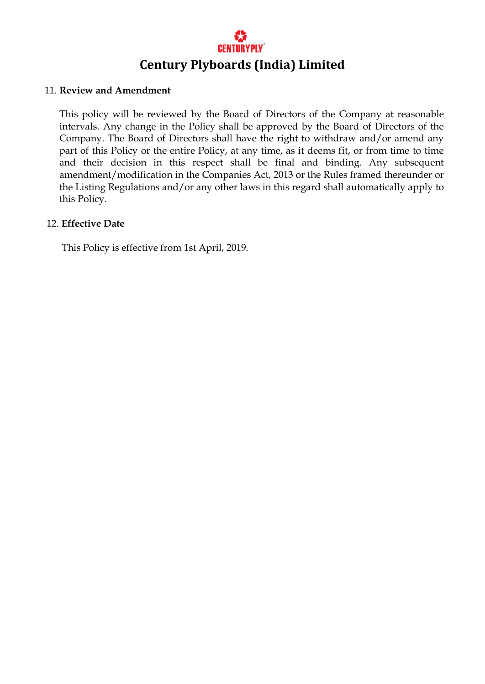#### 11. **Review and Amendment**

This policy will be reviewed by the Board of Directors of the Company at reasonable intervals. Any change in the Policy shall be approved by the Board of Directors of the Company. The Board of Directors shall have the right to withdraw and/or amend any part of this Policy or the entire Policy, at any time, as it deems fit, or from time to time and their decision in this respect shall be final and binding. Any subsequent amendment/modification in the Companies Act, 2013 or the Rules framed thereunder or the Listing Regulations and/or any other laws in this regard shall automatically apply to this Policy.

#### 12. **Effective Date**

This Policy is effective from 1st April, 2019.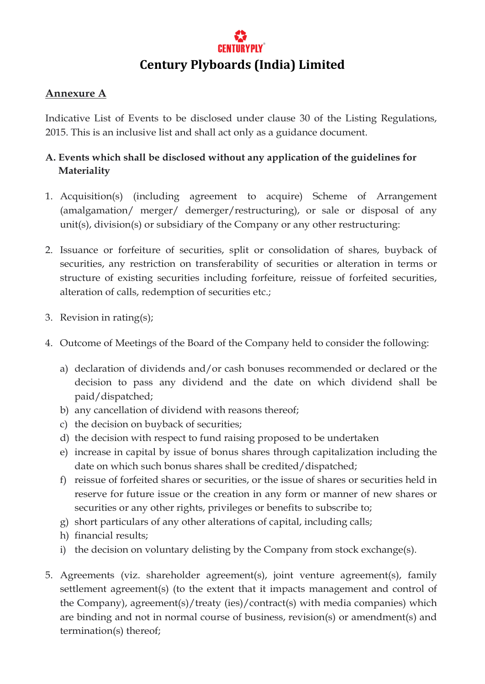## **Annexure A**

Indicative List of Events to be disclosed under clause 30 of the Listing Regulations, 2015. This is an inclusive list and shall act only as a guidance document.

# **A. Events which shall be disclosed without any application of the guidelines for Materiality**

- 1. Acquisition(s) (including agreement to acquire) Scheme of Arrangement (amalgamation/ merger/ demerger/restructuring), or sale or disposal of any unit(s), division(s) or subsidiary of the Company or any other restructuring:
- 2. Issuance or forfeiture of securities, split or consolidation of shares, buyback of securities, any restriction on transferability of securities or alteration in terms or structure of existing securities including forfeiture, reissue of forfeited securities, alteration of calls, redemption of securities etc.;
- 3. Revision in rating(s);
- 4. Outcome of Meetings of the Board of the Company held to consider the following:
	- a) declaration of dividends and/or cash bonuses recommended or declared or the decision to pass any dividend and the date on which dividend shall be paid/dispatched;
	- b) any cancellation of dividend with reasons thereof;
	- c) the decision on buyback of securities;
	- d) the decision with respect to fund raising proposed to be undertaken
	- e) increase in capital by issue of bonus shares through capitalization including the date on which such bonus shares shall be credited/dispatched;
	- f) reissue of forfeited shares or securities, or the issue of shares or securities held in reserve for future issue or the creation in any form or manner of new shares or securities or any other rights, privileges or benefits to subscribe to;
	- g) short particulars of any other alterations of capital, including calls;
	- h) financial results;
	- i) the decision on voluntary delisting by the Company from stock exchange(s).
- 5. Agreements (viz. shareholder agreement(s), joint venture agreement(s), family settlement agreement(s) (to the extent that it impacts management and control of the Company), agreement(s)/treaty (ies)/contract(s) with media companies) which are binding and not in normal course of business, revision(s) or amendment(s) and termination(s) thereof;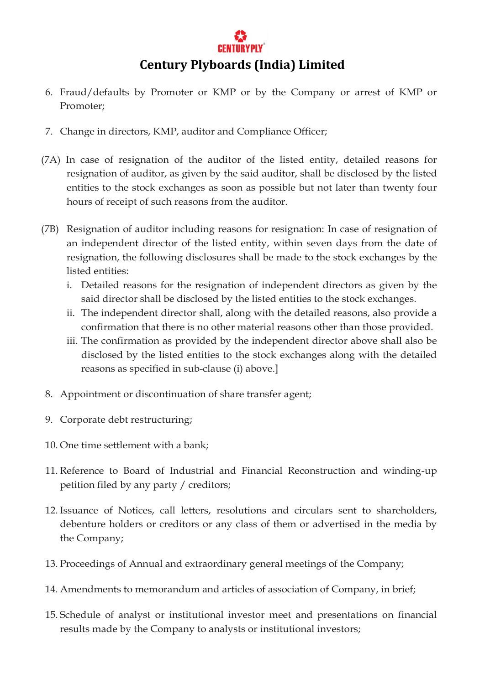

- 6. Fraud/defaults by Promoter or KMP or by the Company or arrest of KMP or Promoter;
- 7. Change in directors, KMP, auditor and Compliance Officer;
- (7A) In case of resignation of the auditor of the listed entity, detailed reasons for resignation of auditor, as given by the said auditor, shall be disclosed by the listed entities to the stock exchanges as soon as possible but not later than twenty four hours of receipt of such reasons from the auditor.
- (7B) Resignation of auditor including reasons for resignation: In case of resignation of an independent director of the listed entity, within seven days from the date of resignation, the following disclosures shall be made to the stock exchanges by the listed entities:
	- i. Detailed reasons for the resignation of independent directors as given by the said director shall be disclosed by the listed entities to the stock exchanges.
	- ii. The independent director shall, along with the detailed reasons, also provide a confirmation that there is no other material reasons other than those provided.
	- iii. The confirmation as provided by the independent director above shall also be disclosed by the listed entities to the stock exchanges along with the detailed reasons as specified in sub-clause (i) above.]
- 8. Appointment or discontinuation of share transfer agent;
- 9. Corporate debt restructuring;
- 10. One time settlement with a bank;
- 11. Reference to Board of Industrial and Financial Reconstruction and winding-up petition filed by any party / creditors;
- 12. Issuance of Notices, call letters, resolutions and circulars sent to shareholders, debenture holders or creditors or any class of them or advertised in the media by the Company;
- 13. Proceedings of Annual and extraordinary general meetings of the Company;
- 14. Amendments to memorandum and articles of association of Company, in brief;
- 15. Schedule of analyst or institutional investor meet and presentations on financial results made by the Company to analysts or institutional investors;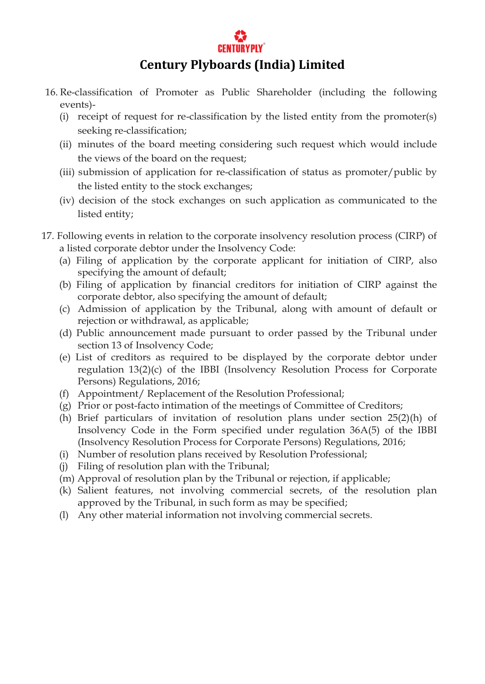

- 16. Re-classification of Promoter as Public Shareholder (including the following events)-
	- (i) receipt of request for re-classification by the listed entity from the promoter(s) seeking re-classification;
	- (ii) minutes of the board meeting considering such request which would include the views of the board on the request;
	- (iii) submission of application for re-classification of status as promoter/public by the listed entity to the stock exchanges;
	- (iv) decision of the stock exchanges on such application as communicated to the listed entity;
- 17. Following events in relation to the corporate insolvency resolution process (CIRP) of a listed corporate debtor under the Insolvency Code:
	- (a) Filing of application by the corporate applicant for initiation of CIRP, also specifying the amount of default;
	- (b) Filing of application by financial creditors for initiation of CIRP against the corporate debtor, also specifying the amount of default;
	- (c) Admission of application by the Tribunal, along with amount of default or rejection or withdrawal, as applicable;
	- (d) Public announcement made pursuant to order passed by the Tribunal under section 13 of Insolvency Code;
	- (e) List of creditors as required to be displayed by the corporate debtor under regulation 13(2)(c) of the IBBI (Insolvency Resolution Process for Corporate Persons) Regulations, 2016;
	- (f) Appointment/ Replacement of the Resolution Professional;
	- (g) Prior or post-facto intimation of the meetings of Committee of Creditors;
	- (h) Brief particulars of invitation of resolution plans under section 25(2)(h) of Insolvency Code in the Form specified under regulation 36A(5) of the IBBI (Insolvency Resolution Process for Corporate Persons) Regulations, 2016;
	- (i) Number of resolution plans received by Resolution Professional;
	- (j) Filing of resolution plan with the Tribunal;
	- (m) Approval of resolution plan by the Tribunal or rejection, if applicable;
	- (k) Salient features, not involving commercial secrets, of the resolution plan approved by the Tribunal, in such form as may be specified;
	- (l) Any other material information not involving commercial secrets.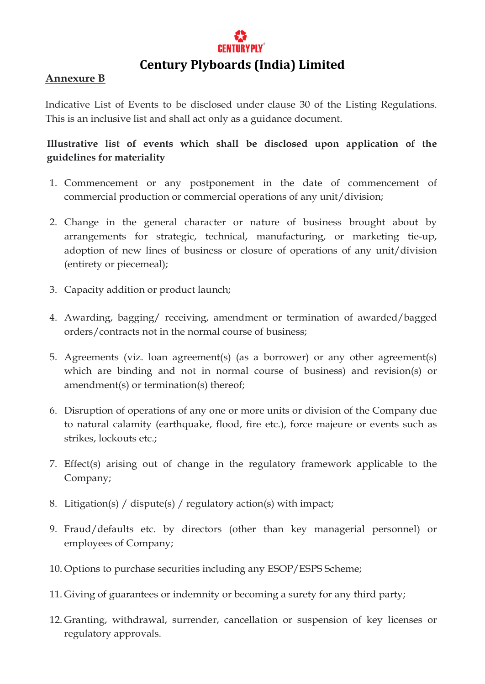

### **Annexure B**

Indicative List of Events to be disclosed under clause 30 of the Listing Regulations. This is an inclusive list and shall act only as a guidance document.

# **Illustrative list of events which shall be disclosed upon application of the guidelines for materiality**

- 1. Commencement or any postponement in the date of commencement of commercial production or commercial operations of any unit/division;
- 2. Change in the general character or nature of business brought about by arrangements for strategic, technical, manufacturing, or marketing tie-up, adoption of new lines of business or closure of operations of any unit/division (entirety or piecemeal);
- 3. Capacity addition or product launch;
- 4. Awarding, bagging/ receiving, amendment or termination of awarded/bagged orders/contracts not in the normal course of business;
- 5. Agreements (viz. loan agreement(s) (as a borrower) or any other agreement(s) which are binding and not in normal course of business) and revision(s) or amendment(s) or termination(s) thereof;
- 6. Disruption of operations of any one or more units or division of the Company due to natural calamity (earthquake, flood, fire etc.), force majeure or events such as strikes, lockouts etc.;
- 7. Effect(s) arising out of change in the regulatory framework applicable to the Company;
- 8. Litigation(s) / dispute(s) / regulatory action(s) with impact;
- 9. Fraud/defaults etc. by directors (other than key managerial personnel) or employees of Company;
- 10. Options to purchase securities including any ESOP/ESPS Scheme;
- 11. Giving of guarantees or indemnity or becoming a surety for any third party;
- 12. Granting, withdrawal, surrender, cancellation or suspension of key licenses or regulatory approvals.